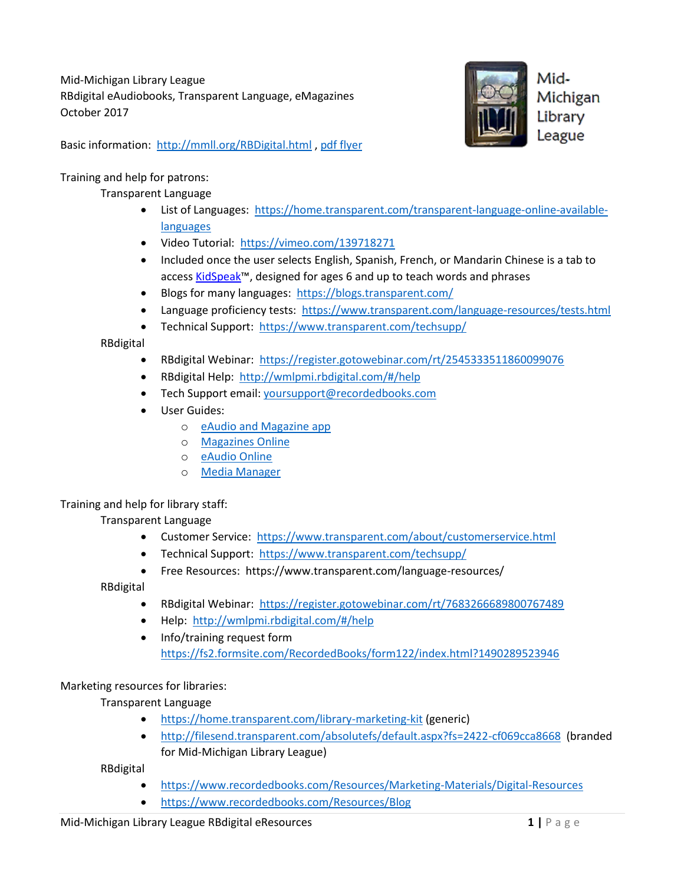Mid-Michigan Library League RBdigital eAudiobooks, Transparent Language, eMagazines October 2017

Mid-Michigan Library League

Basic information: <http://mmll.org/RBDigital.html> , [pdf flyer](http://mmll.org/documents/2017-2018/RBD%20Digital%20Resources%20for%20MMLL%20rev%2010-10-17.pdf)

# Training and help for patrons:

# Transparent Language

- List of Languages: [https://home.transparent.com/transparent-language-online-available](https://home.transparent.com/transparent-language-online-available-languages)[languages](https://home.transparent.com/transparent-language-online-available-languages)
- Video Tutorial: <https://vimeo.com/139718271>
- Included once the user selects English, Spanish, French, or Mandarin Chinese is a tab to access [KidSpeak](https://www.transparent.com/libraries/kidspeak.html)™, designed for ages 6 and up to teach words and phrases
- Blogs for many languages:<https://blogs.transparent.com/>
- Language proficiency tests: <https://www.transparent.com/language-resources/tests.html>
- Technical Support: <https://www.transparent.com/techsupp/>

RBdigital

- RBdigital Webinar: <https://register.gotowebinar.com/rt/2545333511860099076>
- RBdigital Help:<http://wmlpmi.rbdigital.com/#/help>
- Tech Support email: [yoursupport@recordedbooks.com](mailto:yoursupport@recordedbooks.com)
- User Guides:
	- o [eAudio and Magazine app](https://www.recordedbooks.com/RBDigital/media/site/Marketing%20Materials/Digital%20Products/Magazines/Handouts/LY1732_RBdigital_Audio_Mag_App_User_Guide_final-7-18-17.pdf?ext=.pdf)
	- o [Magazines Online](https://www.recordedbooks.com/RBDigital/media/site/Marketing%20Materials/Digital%20Products/Magazines/Handouts/LY1718_RBdigital-Magazine-Browser-User-Guide_Non-Bleed.pdf?ext=.pdf)
	- o [eAudio Online](https://www.keepandshare.com/doc/8207488/ly1728-rbdigital-audiobook-app-user-guide-final-pdf-2-0-meg?da=y)
	- o [Media Manager](https://www.recordedbooks.com/RBDigital/media/site/Marketing%20Materials/Digital%20Products/Audiobooks%20and%20eBooks/Handouts/LY9153c_RBdigital-Media-Manager-Patron-Overview-Brochure_Full-bleed.pdf?ext=.pdf)

# Training and help for library staff:

Transparent Language

- Customer Service: <https://www.transparent.com/about/customerservice.html>
- Technical Support: <https://www.transparent.com/techsupp/>
- Free Resources: https://www.transparent.com/language-resources/

RBdigital

- RBdigital Webinar: <https://register.gotowebinar.com/rt/7683266689800767489>
- Help:<http://wmlpmi.rbdigital.com/#/help>
- Info/training request form <https://fs2.formsite.com/RecordedBooks/form122/index.html?1490289523946>

## Marketing resources for libraries:

Transparent Language

- <https://home.transparent.com/library-marketing-kit> (generic)
- <http://filesend.transparent.com/absolutefs/default.aspx?fs=2422-cf069cca8668> (branded for Mid-Michigan Library League)

RBdigital

- <https://www.recordedbooks.com/Resources/Marketing-Materials/Digital-Resources>
- <https://www.recordedbooks.com/Resources/Blog>